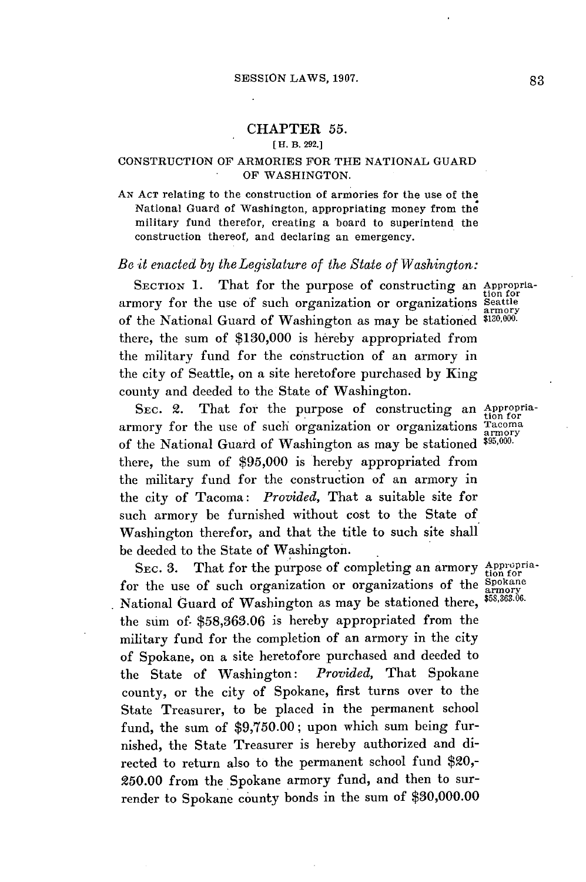# CHAPTER **55.**

#### **[ H. B. 292.]**

#### **CONSTRUCTION** OF ARMORIES FOR THE **NATIONAL GUARD** OF **WASHINGTON.**

**AN ACT** relating to the construction of armories for the use of the National Guard of Washington, appropriating money from the military fund therefor, creating a board to superintend the construction thereof, and declaring an emergency.

### *Be it enacted by theLegislature of the State of Washington:*

SECTION 1. That for the purpose of constructing an Appropria-EXPLISH 1: That for the parpose of constructing an tion for armory for the use of such organization or organizations Seattle of the National Guard of Washington as may be stationed **\$10,000.** there, the sum of **\$130,000** is hereby appropriated from the military fund for the construction of an armory in the city of Seattle, on a site heretofore purchased **by** King county and deeded to the State of Washington.

SEC. 2. That for the purpose of constructing an Appropriaarmory for the use of such organization or organizations Tacoma of the National Guard of Washington as may be stationed **\$95,ooo.** there, the sum of **\$95,000** is hereby appropriated from the military fund for the construction of an armory in the city of Tacoma: *Provided,* That a suitable site for such armory be furnished without cost to the State of Washington therefor, and that the title to such site shall be deeded to the State of Washington.

SEC. 3. That for the purpose of completing an armory Appropriafor the use of such organization or organizations of the Spokane National Guard of Washington as may be stationed there, \$58,363.06. the sum of- **\$58,363.06** is hereby appropriated from the military fund for the completion of an armory in the city of Spokane, on a site heretofore purchased and deeded to the State of Washington: *Provided,* That Spokane county, or the city of Spokane, first turns over to the State Treasurer, to be placed in the permanent school fund, the sum of **\$9,750.00;** upon which sum being furnished, the State Treasurer is hereby authorized and directed to return also to the permanent school fund \$20,- **250.00** from the Spokane armory fund, and then to surrender to Spokane county bonds in the sum of **\$30,000.00**

armory

armory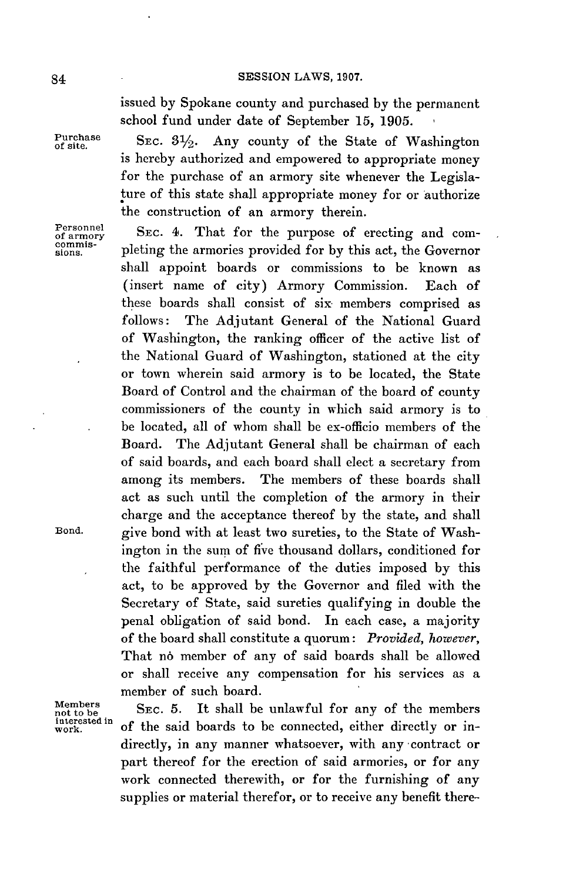issued **by** Spokane county and purchased **by** the permanent school fund under date of September **15, 1905.**

Furchase SEC.  $3\frac{1}{2}$ . Any county of the State of Washington is hereby authorized and empowered to appropriate money for the purchase of an armory site whenever the Legislature of this state shall appropriate money for or authorize the construction of an armory therein.

Personnel SEC. 4. That for the purpose of erecting and comof armory<br>
commis-<br>
sions.<br>
pleting the armories provided for by this act, the Governor shall appoint boards or commissions to be known as (insert name of city) Armory Commission. Each of these boards shall consist of six members comprised as follows: The Adjutant General of the National Guard of Washington, the ranking officer of the active list of the National Guard of Washington, stationed at the city or town wherein said armory is to be located, the State Board of Control and the chairman of the board of county commissioners of the county in which said armory is to be located, all of whom shall be ex-officio members of the Board. The Adjutant General shall be chairman of each of said boards, and each board shall elect a secretary from among its members. The members of these boards shall act as such until the completion of the armory in their charge and the acceptance thereof **by** the state, and shall Bond. give bond with at least two sureties, to the State of Washington in the sum of five thousand dollars, conditioned for the faithful performance of the duties imposed **by** this act, to be approved **by** the Governor and filed with the Secretary of State, said sureties qualifying in double the penal obligation of said bond. In each case, a majority of the board shall constitute a quorum: *Provided, however,* That no member of any of said boards shall be allowed or shall receive any compensation for his services as a member of such board.

> SEC. 5. It shall be unlawful for any of the members of the said boards to be connected, either directly or indirectly, in any manner whatsoever, with any -contract or part thereof for the erection of said armories, or for any work connected therewith, or for the furnishing of any supplies or material therefor, or to receive any benefit there-

Members<br>not to be interested in<br>work.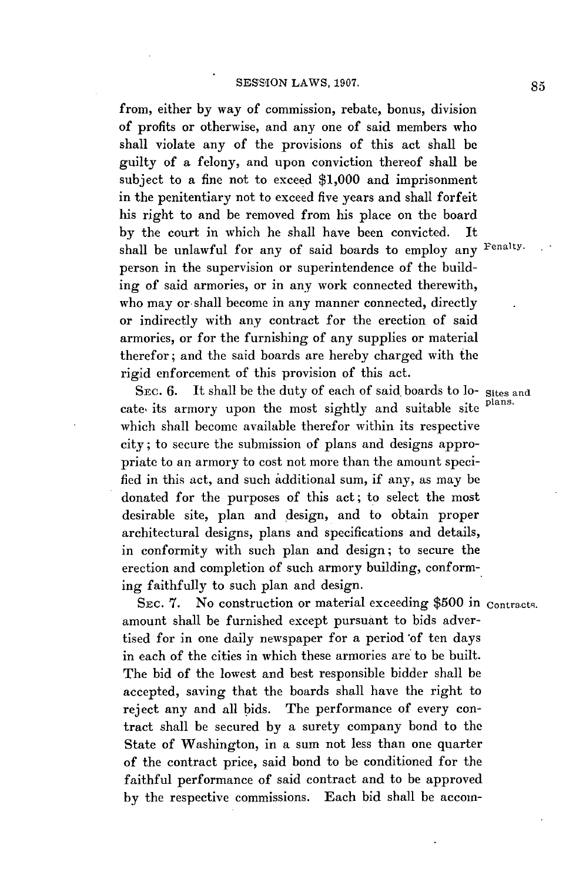from, either **by** way of commission, rebate, bonus, division of profits or otherwise, and any one of said members who shall violate any of the provisions of this act shall **be** guilty of a felony, and upon conviction thereof shall be subject to a fine not to exceed **\$1,000** and imprisonment in the penitentiary not to exceed five years and shall forfeit his right to and be removed from his place on the board **by** the court in which he shall have been convicted. It shall be unlawful for any of said boards to employ any Fenalty. person in the supervision or superintendence of the building of said armories, or in any work connected therewith, who may or-shall become in any manner connected, directly or indirectly with any contract for the erection of said armories, or for the furnishing of any supplies or material therefor; and the said boards are hereby charged with **the** rigid enforcement of this provision of this act.

SEC. **6.** It shall be the duty of each of said boards to lo- Sites and cate its armory upon the most sightly and suitable site which shall become available therefor within its respective city; to secure the submission of plans and designs appropriate to an armory to cost not more than the amount specified in this act, and such additional sum, if any, as may be donated for the purposes of this act; to select the most desirable site, plan and design, and to obtain proper architectural designs, plans and specifications and details, in conformity with such plan and design; to secure the erection and completion of such armory building, conforming faithfully to such plan and design.

SEc. **7.** No construction or material exceeding **\$500** in contracts. amount shall be furnished except pursuant to bids advertised for in one daily newspaper for a period 'of ten days in each of the cities in which these armories are to be built. The bid of the lowest and best responsible bidder shall be accepted, saving that the boards shall have the right to reject any and all bids. The performance of every contract shall be secured **by** a surety company bond to the State of Washington, in a sum not less than one quarter of the contract price, said bond to be conditioned for the faithful performance of said contract and to be approved by the respective commissions. Each bid shall be accom-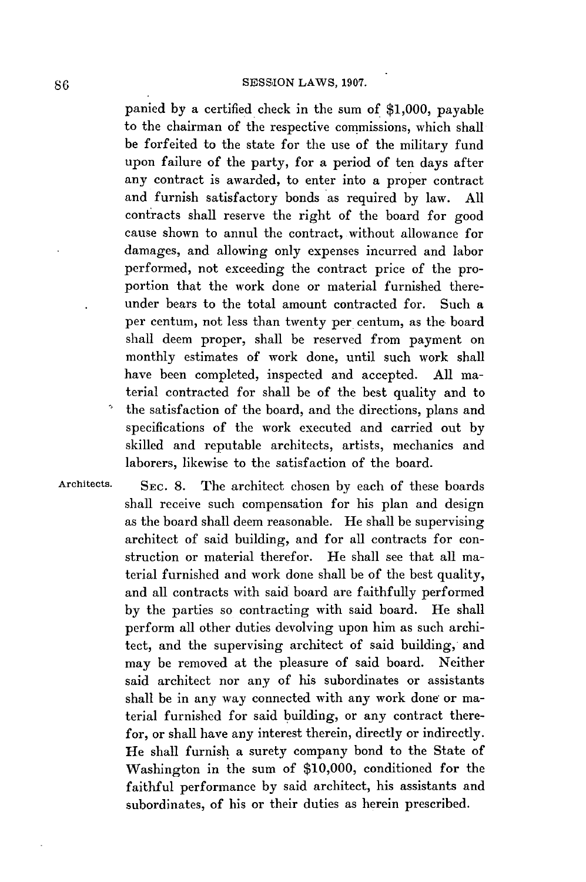## **SESSION** LAWS, **1907. 86**

panied **by** a certified check in the sum of **\$1,000,** payable to the chairman of the respective commissions, which shall be forfeited to the state for the use of the military fund upon failure of the party, for a period of ten days after any contract is awarded, to enter into a proper contract and furnish satisfactory bonds as required **by** law. **All** contracts shall reserve the right of the board for good cause shown to annul the contract, without allowance for damages, and allowing only expenses incurred and labor performed, not exceeding the contract price of the proportion that the work done or material furnished thereunder bears to the total amount contracted for. Such a per centum, not less than twenty per centum, as the board shall deem proper, shall be reserved from payment on monthly estimates of work done, until such work shall have been completed, inspected and accepted. **All** material contracted for shall be of the best quality and to the satisfaction of the board, and the directions, plans and specifications of the work executed and carried out **by** skilled and reputable architects, artists, mechanics and laborers, likewise to the satisfaction of the board.

**Architects.** SEc. **8.** The architect chosen **by** each of these boards shall receive such compensation for his plan and design as the board shall deem reasonable. He shall be supervising architect of said building, and for all contracts for construction or material therefor. He shall see that all material furnished and work done shall be of the best quality, and all contracts with said board are faithfully performed **by** the parties so contracting with said board. He shall perform all other duties devolving upon him as such architect, and the supervising architect of said building, and may be removed at the pleasure of said board. Neither said architect nor any of his subordinates or assistants shall be in any way connected with any work done or material furnished for said building, or any contract therefor, or shall have any interest therein, directly or indirectly. He shall furnish a surety company bond to the State of Washington in the sum of **\$10,000,** conditioned for the faithful performance **by** said architect, his assistants and subordinates, of his or their duties as herein prescribed.